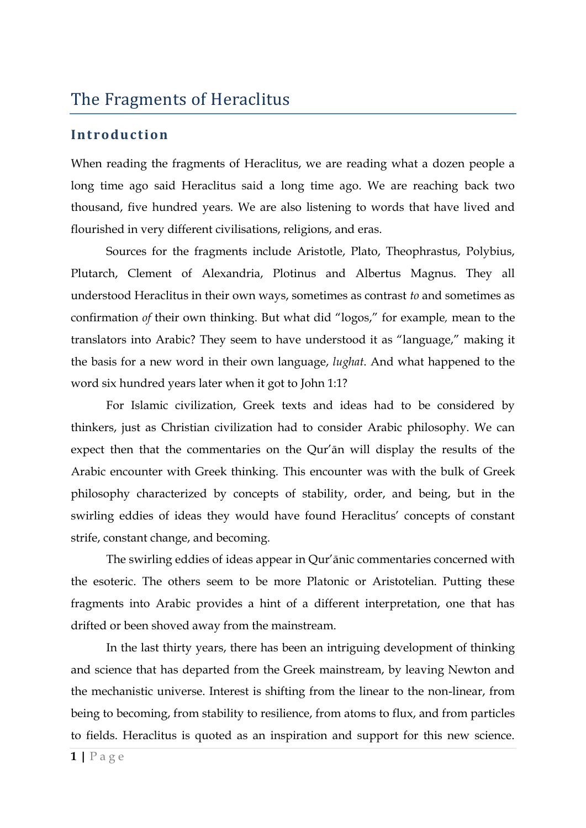## The Fragments of Heraclitus

#### **Int roduction**

When reading the fragments of Heraclitus, we are reading what a dozen people a long time ago said Heraclitus said a long time ago. We are reaching back two thousand, five hundred years. We are also listening to words that have lived and flourished in very different civilisations, religions, and eras.

Sources for the fragments include Aristotle, Plato, Theophrastus, Polybius, Plutarch, Clement of Alexandria, Plotinus and Albertus Magnus. They all understood Heraclitus in their own ways, sometimes as contrast *to* and sometimes as confirmation *of* their own thinking. But what did "logos," for example*,* mean to the translators into Arabic? They seem to have understood it as "language," making it the basis for a new word in their own language, *lughat*. And what happened to the word six hundred years later when it got to John 1:1?

For Islamic civilization, Greek texts and ideas had to be considered by thinkers, just as Christian civilization had to consider Arabic philosophy. We can expect then that the commentaries on the Qur'ān will display the results of the Arabic encounter with Greek thinking. This encounter was with the bulk of Greek philosophy characterized by concepts of stability, order, and being, but in the swirling eddies of ideas they would have found Heraclitus' concepts of constant strife, constant change, and becoming.

The swirling eddies of ideas appear in Qur'ānic commentaries concerned with the esoteric. The others seem to be more Platonic or Aristotelian. Putting these fragments into Arabic provides a hint of a different interpretation, one that has drifted or been shoved away from the mainstream.

In the last thirty years, there has been an intriguing development of thinking and science that has departed from the Greek mainstream, by leaving Newton and the mechanistic universe. Interest is shifting from the linear to the non-linear, from being to becoming, from stability to resilience, from atoms to flux, and from particles to fields. Heraclitus is quoted as an inspiration and support for this new science.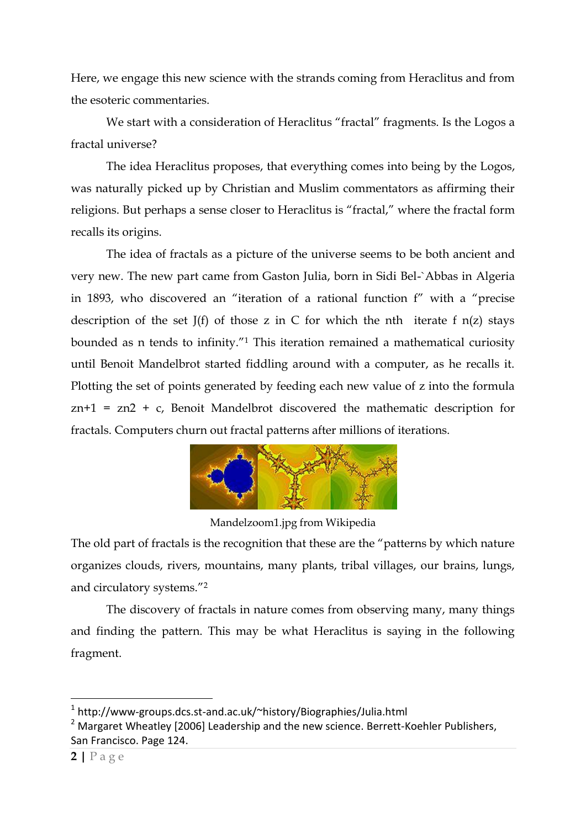Here, we engage this new science with the strands coming from Heraclitus and from the esoteric commentaries.

We start with a consideration of Heraclitus "fractal" fragments. Is the Logos a fractal universe?

The idea Heraclitus proposes, that everything comes into being by the Logos, was naturally picked up by Christian and Muslim commentators as affirming their religions. But perhaps a sense closer to Heraclitus is "fractal," where the fractal form recalls its origins.

The idea of fractals as a picture of the universe seems to be both ancient and very new. The new part came from Gaston Julia, born in Sidi Bel-`Abbas in Algeria in 1893, who discovered an "iteration of a rational function f" with a "precise description of the set  $J(f)$  of those z in C for which the nth iterate f  $n(z)$  stays bounded as n tends to infinity."<sup>1</sup> This iteration remained a mathematical curiosity until Benoit Mandelbrot started fiddling around with a computer, as he recalls it. Plotting the set of points generated by feeding each new value of z into the formula zn+1 = zn2 + c, Benoit Mandelbrot discovered the mathematic description for fractals. Computers churn out fractal patterns after millions of iterations.



Mandelzoom1.jpg from Wikipedia

The old part of fractals is the recognition that these are the "patterns by which nature organizes clouds, rivers, mountains, many plants, tribal villages, our brains, lungs, and circulatory systems."<sup>2</sup>

The discovery of fractals in nature comes from observing many, many things and finding the pattern. This may be what Heraclitus is saying in the following fragment.

<u>.</u>

<sup>&</sup>lt;sup>1</sup> http://www-groups.dcs.st-and.ac.uk/~history/Biographies/Julia.html

<sup>&</sup>lt;sup>2</sup> Margaret Wheatley [2006] Leadership and the new science. Berrett-Koehler Publishers, San Francisco. Page 124.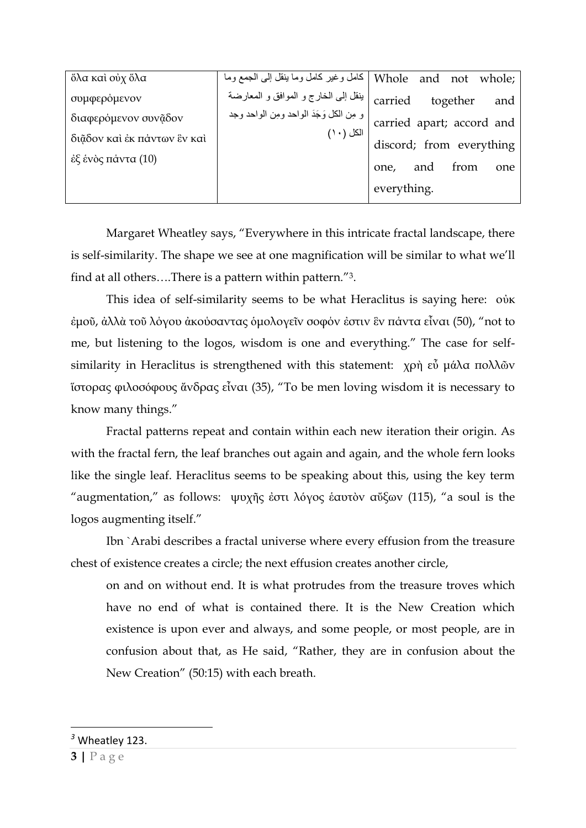| ὄλα καὶ οὐχ ὅλα             |                                                | Whole and not whole   كامل وغير كامل وما ينقل إلى الجمع وما                    |
|-----------------------------|------------------------------------------------|--------------------------------------------------------------------------------|
| συμφερόμενον                | carried   بنقل إلى الخارج و الموافق و المعارضة | together<br>and                                                                |
| διαφερόμενον συνᾶδον        |                                                | و مِن الكل وَجَدَ الواحد ومِن الواحد وجد )  <br>  carried  apart;  accord  and |
| διάδον και έκ πάντων έν και | الكل $(\,\cdot\, \, )$                         | discord; from everything                                                       |
| έξ ένὸς πάντα (10)          |                                                | from<br>and<br>one,<br>one                                                     |
|                             |                                                |                                                                                |
|                             |                                                | everything.                                                                    |

Margaret Wheatley says, "Everywhere in this intricate fractal landscape, there is self-similarity. The shape we see at one magnification will be similar to what we'll find at all others….There is a pattern within pattern."3.

This idea of self-similarity seems to be what Heraclitus is saying here: οὐκ ἐμοῦ, ἀλλὰ τοῦ λόγου ἀκούσαντας ὁμολογεῖν σοφόν ἐστιν ἓν πάντα εἶναι (50), "not to me, but listening to the logos, wisdom is one and everything." The case for selfsimilarity in Heraclitus is strengthened with this statement: χρή εὖ μάλα πολλῶν ἵστορας φιλοσόφους ἄνδρας εἶναι (35), "To be men loving wisdom it is necessary to know many things."

Fractal patterns repeat and contain within each new iteration their origin. As with the fractal fern, the leaf branches out again and again, and the whole fern looks like the single leaf. Heraclitus seems to be speaking about this, using the key term "augmentation," as follows: ψυχῆς ἐστι λόγος ἑαυτὸν αὔξων (115), "a soul is the logos augmenting itself."

Ibn `Arabi describes a fractal universe where every effusion from the treasure chest of existence creates a circle; the next effusion creates another circle,

on and on without end. It is what protrudes from the treasure troves which have no end of what is contained there. It is the New Creation which existence is upon ever and always, and some people, or most people, are in confusion about that, as He said, "Rather, they are in confusion about the New Creation" (50:15) with each breath.

<u>.</u>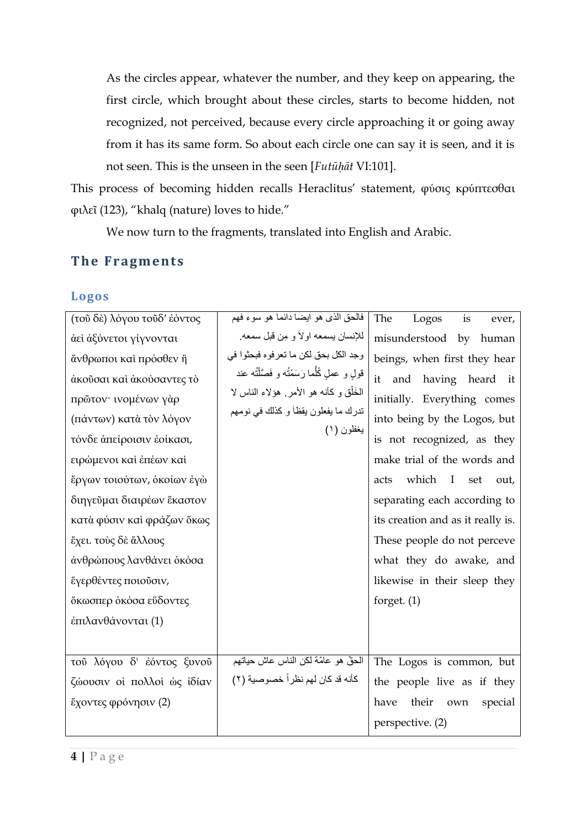As the circles appear, whatever the number, and they keep on appearing, the first circle, which brought about these circles, starts to become hidden, not recognized, not perceived, because every circle approaching it or going away from it has its same form. So about each circle one can say it is seen, and it is not seen. This is the unseen in the seen [*Futūḥāt* VI:101].

This process of becoming hidden recalls Heraclitus' statement, φύσις κρύπτεσθαι φιλεῖ (123), "khalq (nature) loves to hide."

We now turn to the fragments, translated into English and Arabic.

#### **The Fragments**

#### **Logos**

| (τοῦ δὲ) λόγου τοῦδ' ἐόντος | فالحق الذي هو ايضا دائما هو سوء فهم            | The<br>Logos<br>is<br>ever,                  |
|-----------------------------|------------------------------------------------|----------------------------------------------|
| άει άξύνετοι γίγνονται      | للإنسان يسمعه اولاً و مِن قبل سمعه             | misunderstood by human                       |
| άνθρωποι και πρόσθεν ή      | وجد الكل بحق لكن ما تعرفوه فبحثوا في           | beings, when first they hear                 |
| άκούσαι και άκούσαντες το   | قولِ و عملِ كُلُّما رَسَمْتُه و فَصَّلْتُه عند | having heard it<br>it<br>and                 |
| πρῶτον· ινομένων γάρ        | الْخَلْق و كَانه هو الأمر ِ هؤلاء الناس لا     | initially. Everything comes                  |
| (πάντων) κατὰ τὸν λόγον     | تدرك ما يفعلون يقظاً و كذلك في نومهم           | into being by the Logos, but                 |
| τόνδε άπείροισιν έοίκασι,   | يغفلون (١)                                     | is not recognized, as they                   |
| ειρώμενοι καὶ ἐπέων καὶ     |                                                | make trial of the words and                  |
| έργων τοιούτων, οκοίων έγω  |                                                | which<br>$\mathbf{I}$<br>acts<br>set<br>out, |
| διηγεῦμαι διαιρέων ἕκαστον  |                                                | separating each according to                 |
| κατὰ φύσιν καὶ φράζων ὅκως  |                                                | its creation and as it really is.            |
| έχει. τούς δε άλλους        |                                                | These people do not perceve                  |
| άνθρώπους λανθάνει όκόσα    |                                                | what they do awake, and                      |
| έγερθέντες ποιούσιν,        |                                                | likewise in their sleep they                 |
| ὄκωσπερ ὁκὀσα εὕδοντες      |                                                | forget. $(1)$                                |
| έπιλανθάνονται (1)          |                                                |                                              |
|                             |                                                |                                              |
| τοῦ λόγου δ' ἐόντος ξυνοῦ   | الحقّ هو علمّة لكن الناس عاش حياتهم            | The Logos is common, but                     |
| ζώουσιν οί πολλοί ως ίδίαν  | كأنه قد كان لهم نظراً خصوصية (٢)               | the people live as if they                   |
| έχοντες φρόνησιν (2)        |                                                | their<br>have<br>own<br>special              |
|                             |                                                | perspective. (2)                             |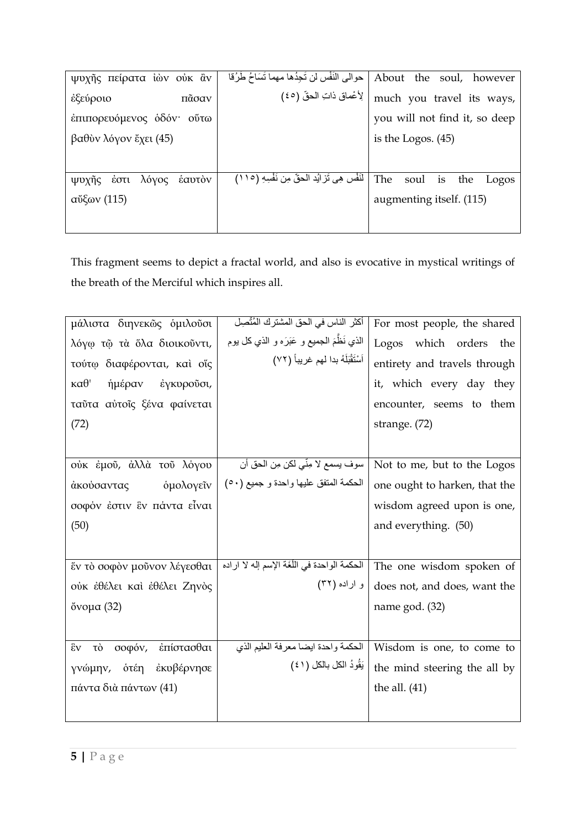| ψυχῆς πείρατα ἰών ούκ ἂν         | حوالى النَفْس لن تَجِدُها مهما تَسَاحُ طَرُقا     | About the soul, however        |
|----------------------------------|---------------------------------------------------|--------------------------------|
| ἐξεύροιο<br>πᾶσαν                | لِأَعْماقِ ذاتِ الْحقِّ (٤٥)                      | much you travel its ways,      |
| έπιπορευόμενος οδόν· ούτω        |                                                   | you will not find it, so deep  |
| βαθύν λόγον έχει (45)            |                                                   | is the Logos. $(45)$           |
|                                  |                                                   |                                |
| λόγος<br>έαυτὸν<br>έστι<br>ψυχης | لْنَفْسِ هِي تَرْ ايُد الْحقِّ مِن نَفْسِهِ (١١٥) | The<br>soul is<br>the<br>Logos |
| $\alpha$ "δ $\alpha$ (115)       |                                                   | augmenting itself. (115)       |
|                                  |                                                   |                                |

This fragment seems to depict a fractal world, and also is evocative in mystical writings of the breath of the Merciful which inspires all.

| μάλιστα διηνεκῶς ομιλοῦσι                   | أكثر الناس في الحق المشترك المُتَّصِل         | For most people, the shared   |
|---------------------------------------------|-----------------------------------------------|-------------------------------|
| λόγω τῷ τὰ ὅλα διοικοῦντι,                  | الذي نَظَمَ الـجميع و عَبَرَه و الذي كل يوم   | Logos which orders<br>the     |
| τούτω διαφέρονται, καί οΐς                  | أَسْتَقْبَلَهُ بدا لهم غريباً (٧٢)            | entirety and travels through  |
| $\kappa\alpha\theta$ '<br>ήμέραν έγκυρούσι, |                                               | it, which every day they      |
| ταύτα αύτοις ξένα φαίνεται                  |                                               | encounter, seems to them      |
| (72)                                        |                                               | strange. (72)                 |
|                                             |                                               |                               |
| ούκ έμοῦ, ἀλλὰ τοῦ λόγου                    | سوف يسمع لا مِنّي لكن مِن الحق أن             | Not to me, but to the Logos   |
| <b>ομολογείν</b><br>άκούσαντας              | الحكمة المتفق عليها واحدة و جميع (٥٠)         | one ought to harken, that the |
| σοφόν έστιν ἓν πάντα εἶναι                  |                                               | wisdom agreed upon is one,    |
| (50)                                        |                                               | and everything. (50)          |
|                                             |                                               |                               |
| έν τὸ σοφὸν μοῦνον λέγεσθαι                 | الحكمة الواحدة في اللُّغَة الإسم إله لا اراده | The one wisdom spoken of      |
| ούκ έθέλει καὶ ἐθέλει Ζηνὸς                 | و اراده (۳۲)                                  | does not, and does, want the  |
| ὄνομα (32)                                  |                                               | name god. (32)                |
|                                             |                                               |                               |
| έπίστασθαι<br>σοφόν,<br>έv<br>τò            | الحكمة واحدة ايضا معرفة العليم الذي           | Wisdom is one, to come to     |
| γνώμην, οτέη εκυβέρνησε                     | يَقُودُ الكل بالكل (٤١)                       | the mind steering the all by  |
| πάντα διὰ πάντων (41)                       |                                               | the all. $(41)$               |
|                                             |                                               |                               |
|                                             |                                               |                               |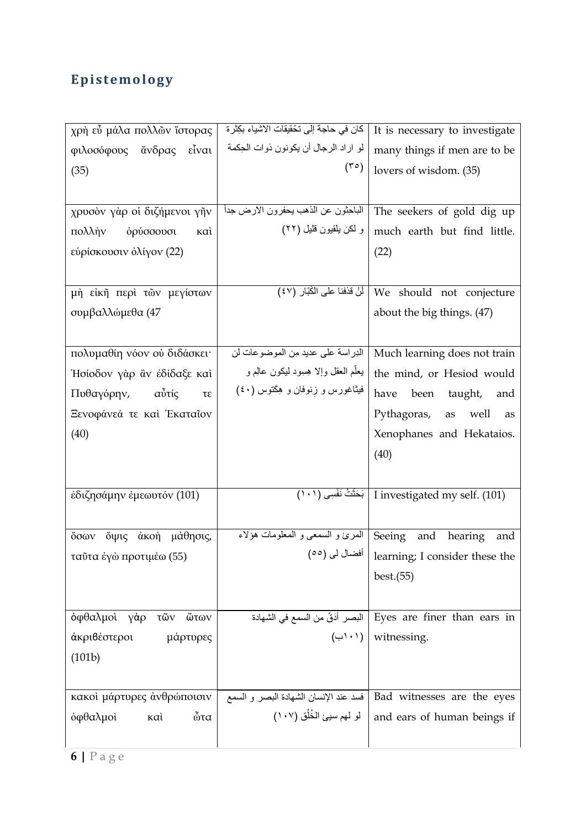# **Epistemology**

| χρή εὖ μάλα πολλῶν ἵστορας    | كان في حاجة إلى تخْقيقات الاشياء بكِثرة | It is necessary to investigate                                 |
|-------------------------------|-----------------------------------------|----------------------------------------------------------------|
| φιλοσόφους ἄνδρας εἶναι       | لو اراد الرجال أن يكونون ذوات الحِكمة   | many things if men are to be                                   |
| (35)                          | $(\tau \circ)$                          | lovers of wisdom. (35)                                         |
|                               |                                         |                                                                |
| χρυσὸν γὰρ οἱ διζήμενοι γῆν   | الباحِثون عن الذهب يحفرون الارض جداً    | The seekers of gold dig up                                     |
| ορύσσουσι<br>πολλὴν<br>καì    | و لكن يلقيون قليل (٢٢)                  | much earth but find little.                                    |
| εύρίσκουσιν όλίγον (22)       |                                         | (22)                                                           |
|                               |                                         |                                                                |
| μή είκῆ περὶ τῶν μεγίστων     |                                         | We should not conjecture فَنْ قَذْفَنَا عَلَى الْكُبَّارِ (٤٧) |
| συμβαλλώμεθα (47              |                                         | about the big things. (47)                                     |
|                               |                                         |                                                                |
| πολυμαθίη νόον ού διδάσκει·   | الدِراسة على عديد مِن الموضوعات لن      | Much learning does not train                                   |
| Ήσίοδον γὰρ ἂν ἐδίδαξε καὶ    | يعلَّم العقل وإلا هِسِود ليكون عالِم و  | the mind, or Hesiod would                                      |
| Πυθαγόρην,<br>αὖτίς<br>τε     | فیثاغورس و زنوفان و هِکَتوس (٤٠)        | have<br>taught,<br>been<br>and                                 |
| Ξενοφάνεά τε καὶ Έκαταῖον     |                                         | Pythagoras, as<br>well<br>as                                   |
| (40)                          |                                         | Xenophanes and Hekataios.                                      |
|                               |                                         | (40)                                                           |
|                               |                                         |                                                                |
| έδιζησάμην έμεωυτόν (101)     |                                         | (101) . I investigated my self   بَحَثْثُ نَفْسِي (١٠١)        |
|                               |                                         |                                                                |
| ὄψις<br>άκοὴ μάθησις,<br>őσων | المعرئ و السمعي و المعلومات هؤلاء       | Seeing<br>and<br>hearing<br>and                                |
| ταῦτα ἐγὼ προτιμέω (55)       |                                         | (°°) learning; I consider these the                            |
|                               |                                         | best.(55)                                                      |
|                               |                                         |                                                                |
| όφθαλμοί γάρ<br>ὤτων<br>τῶν   |                                         | Eyes are finer than ears in البصر أدَقّ من السمع في الشهادة    |
| άκριβέστεροι<br>μάρτυρες      |                                         | $(\cup \' \cup \$ witnessing.                                  |
| (101b)                        |                                         |                                                                |
|                               |                                         |                                                                |
| κακοί μάρτυρες άνθρώποισιν    | فسد عند الإنسان الشهادة البصر و السمع   | Bad witnesses are the eyes                                     |
| ὦτα<br>όφθαλμοί<br>καì        | لو لهم سيئ الخُلُق (١٠٧)                | and ears of human beings if                                    |
|                               |                                         |                                                                |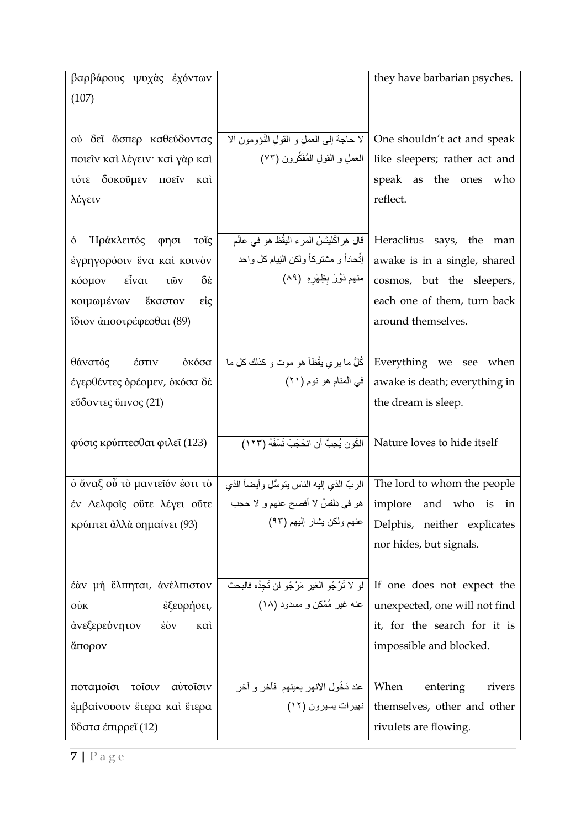| βαρβάρους ψυχὰς ἐχόντων                        |                                                    | they have barbarian psyches.                                            |
|------------------------------------------------|----------------------------------------------------|-------------------------------------------------------------------------|
| (107)                                          |                                                    |                                                                         |
|                                                |                                                    |                                                                         |
| ού δεῖ ὥσπερ καθεύδοντας                       | لا حاجة إلى العملِ و القولِ الذَوْومون ألا         | One shouldn't act and speak                                             |
| ποιεῖν καὶ λέγειν· καὶ γὰρ καὶ                 | العملِ و القولِ المُفَكِّرون (٧٣)                  | like sleepers; rather act and                                           |
| τότε δοκούμεν ποείν καί                        |                                                    | speak as the ones who                                                   |
| λέγειν                                         |                                                    | reflect.                                                                |
|                                                |                                                    |                                                                         |
| Ήράκλειτός φησι<br>ò<br>τοῖς                   | قال هِراكْليتَسْ المرء اليقُظ هو في عالَم          | Heraclitus says, the man                                                |
| έγρηγορόσιν ένα καί κοινὸν                     | إنَّحاداً و مشتركاً ولكن النِيام كل واحد           | awake is in a single, shared                                            |
| κόσμον εἶναι<br>$\delta \hat{\epsilon}$<br>τῶν | منهم دَوَّرَ بِظِهْرِهِ (٨٩)                       | cosmos, but the sleepers,                                               |
| κοιμωμένων ἕκαστον<br>είς                      |                                                    | each one of them, turn back                                             |
| ΐδιον ἀποστρέφεσθαι (89)                       |                                                    | around themselves.                                                      |
|                                                |                                                    |                                                                         |
| οκόσα<br>θάνατός έστιν                         | كُلُّ ما يري يقُظاً هو موت و كذلك كل ما            | Everything we see when                                                  |
| έγερθέντες ορέομεν, οκόσα δε                   | في المنام هو نوم (٢١)                              | awake is death; everything in                                           |
| εΰδοντες ΰπνος (21)                            |                                                    | the dream is sleep.                                                     |
|                                                |                                                    |                                                                         |
| φύσις κρύπτεσθαι φιλεΐ (123)                   | الكَونِ يُحِبَّ أنِ انحَجَبَ نَسْفَهُ (١٢٣)        | Nature loves to hide itself                                             |
|                                                |                                                    |                                                                         |
| ό άναξ ού τὸ μαντεῖόν ἐστι τὸ                  |                                                    | The lord to whom the people   الربّ الذي إليه الناس يتوسُّل وأيضاً الذي |
| έν Δελφοΐς ούτε λέγει ούτε                     | هو في دِلفسْ لا أفصح عنهم و لا حجب                 | implore and who is<br>in                                                |
| κρύπτει άλλὰ σημαίνει (93)                     | عنهم ولكن يشار إليهم (٩٣)                          | Delphis, neither explicates                                             |
|                                                |                                                    | nor hides, but signals.                                                 |
|                                                |                                                    |                                                                         |
| έαν μή έλπηται, ανέλπιστον                     | لو لا تَرْجُو الغير مَرْجُو لن تَجِدُه فَالْبَحْثَ | If one does not expect the                                              |
| έξευρήσει,<br>$\dot{\mathrm{W}}$               | عنه غیر مُمْکِن و مسدود (۱۸)                       | unexpected, one will not find                                           |
| άνεξερεύνητον<br>$\dot{\epsilon}$ òv<br>καì    |                                                    | it, for the search for it is                                            |
| άπορον                                         |                                                    | impossible and blocked.                                                 |
|                                                |                                                    |                                                                         |
| ποταμοΐσι<br>τοΐσιν<br>αύτοΐσιν                | عند دَخُول الانهر بعينهم فأخر و أخر                | When<br>entering<br>rivers                                              |
| έμβαίνουσιν ἕτερα καὶ ἕτερα                    | نهيرات يسيرون (١٢)                                 | themselves, other and other                                             |
| ΰδατα ἐπιρρεῖ (12)                             |                                                    | rivulets are flowing.                                                   |
|                                                |                                                    |                                                                         |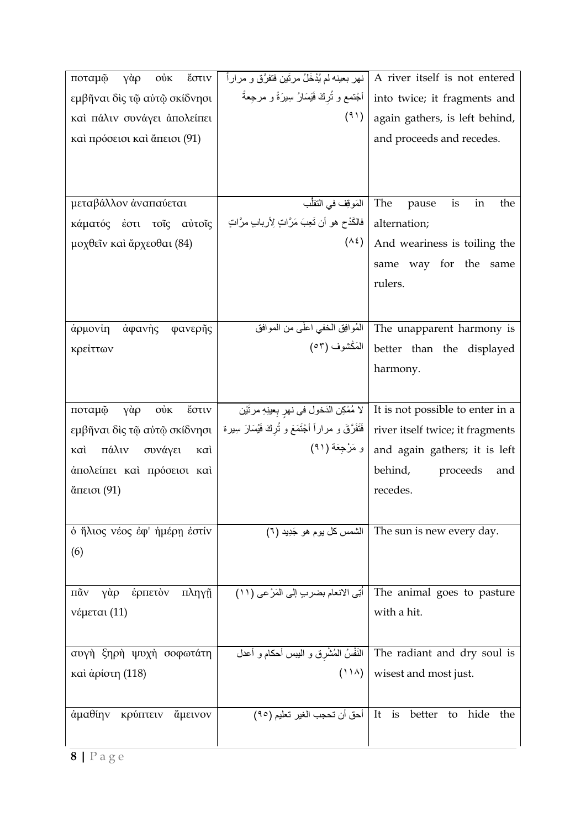| ποταμφ<br>γὰρ<br>$\dot{\mathrm{ow}}$<br>έστιν   | نهر بعينه لم يُدْخَلُ مرتَين فتفرَّق و مراراً             | A river itself is not entered                                           |
|-------------------------------------------------|-----------------------------------------------------------|-------------------------------------------------------------------------|
| εμβῆναι δὶς τῷ αὐτῷ σκίδνησι                    | اَجْتمع و تُركَ فَيَسَارُ سِيرَةً و مرجعةً                | into twice; it fragments and                                            |
| καί πάλιν συνάγει άπολείπει                     | (91)                                                      | again gathers, is left behind,                                          |
| καὶ πρόσεισι καὶ ἄπεισι (91)                    |                                                           | and proceeds and recedes.                                               |
|                                                 |                                                           |                                                                         |
|                                                 |                                                           |                                                                         |
| μεταβάλλον άναπαύεται                           | المَوقِف في التقلُّب                                      | The<br>pause<br>is<br>in<br>the                                         |
|                                                 | فالكَدْح هو أن تَعِبَ مَرَّاتٍ لِأربابٍ مرَّاتٍ           | alternation;                                                            |
| κάματός έστι τοΐς αύτοΐς                        | $(\wedge \xi)$                                            |                                                                         |
| μοχθεῖν καὶ ἄρχεσθαι (84)                       |                                                           | And weariness is toiling the                                            |
|                                                 |                                                           | same way for the<br>same                                                |
|                                                 |                                                           | rulers.                                                                 |
|                                                 |                                                           |                                                                         |
| άρμονίη<br>άφανὴς<br>φανερῆς                    | المُوافِق المخفى اعلَى من الموافق                         | The unapparent harmony is                                               |
| κρείττων                                        | الْمَكْشُوف (٥٣)                                          | better than the displayed                                               |
|                                                 |                                                           | harmony.                                                                |
|                                                 |                                                           |                                                                         |
| ποταμφ<br>γὰρ<br>$\dot{\mathrm{ow}}$<br>έστιν   | لا مُمْكِنِ الدَخولِ في نهرِ بِعينِهِ مرتَيْنِ            | It is not possible to enter in a                                        |
| εμβῆναι δὶς τῷ αὐτῷ σκίδνησι                    | فَتَفَرَّقَ و مراراً أَجْتَمَعَ و تُرِكَ فَيُسَارَ سِبِرة | river itself twice; it fragments                                        |
| πάλιν<br>συνάγει<br>καì<br>καì                  | و مَرْجِعَة (٩١)                                          | and again gathers; it is left                                           |
| άπολείπει και πρόσεισι και                      |                                                           | behind,<br>proceeds<br>and                                              |
| ἄπεισι (91)                                     |                                                           | recedes.                                                                |
|                                                 |                                                           |                                                                         |
| ο ήλιος νέος έφ' ήμέρη έστίν                    |                                                           | (٦) الشمس كل يوم هو جَدِيد (٦) The sun is new every day.                |
| (6)                                             |                                                           |                                                                         |
|                                                 |                                                           |                                                                         |
| $\pi\tilde{\alpha}v$<br>γάρ<br>έρπετὸν<br>πληγῆ | أُتِي الانعام بضربٍ إلى المَرْعي (١١)                     | The animal goes to pasture                                              |
| νέμεται (11)                                    |                                                           | with a hit.                                                             |
|                                                 |                                                           |                                                                         |
| αυγή ξηρή ψυχή σοφωτάτη                         |                                                           | The radiant and dry soul is   النَفْسُ الْمُشْرِقِ و اليبس أحكام و أعدل |
| καὶ ἀρίστη (118)                                | $(11\lambda)$                                             | wisest and most just.                                                   |
|                                                 |                                                           |                                                                         |
| άμαθίην κρύπτειν<br>άμεινον                     |                                                           | better<br>hide<br>to<br>the                                             |
|                                                 |                                                           |                                                                         |
|                                                 |                                                           |                                                                         |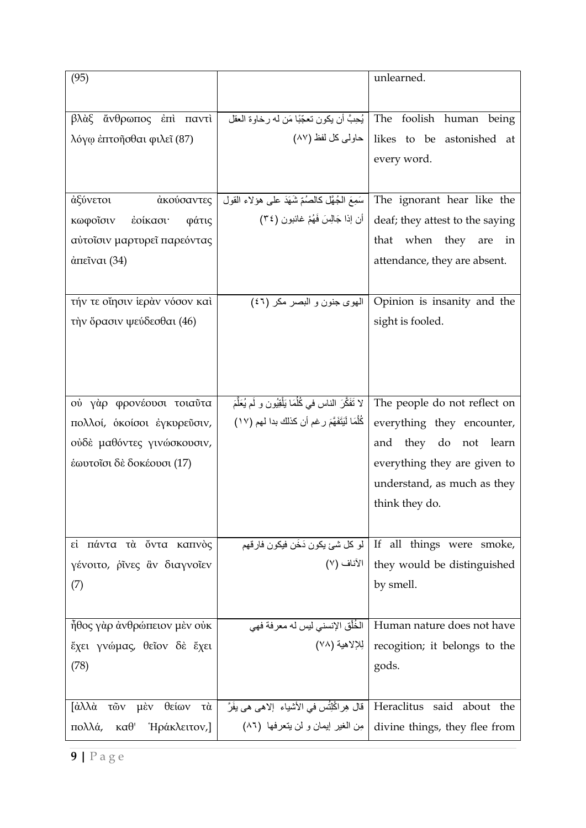| (95)                                                                    |                                                                        | unlearned.                                                        |
|-------------------------------------------------------------------------|------------------------------------------------------------------------|-------------------------------------------------------------------|
|                                                                         |                                                                        |                                                                   |
| βλὰξ<br>έπὶ παντὶ<br>άνθρωπος                                           | The foolish human   يُحِبَّ أن يكون تعجّبًا مَن له رخاوة العقل         | being                                                             |
| λόγω έπτοῆσθαι φιλεῖ (87)                                               |                                                                        | (٨٧ likes to be astonished at   حاولي كل لفظ (٨٧                  |
|                                                                         |                                                                        | every word.                                                       |
|                                                                         |                                                                        |                                                                   |
| άξύνετοι<br>άκούσαντες                                                  | سَمِعَ الْجُهَّلِ كِالْصُمِّ شَهَدَ عَلَى هؤ لاءِ القول                | The ignorant hear like the                                        |
| φάτις<br>κωφοΐσιν<br>έοίκασι·                                           | أن إذا جَالِسَ فَهُمْ غائبون (٣٤)                                      | deaf; they attest to the saying                                   |
| αύτοΐσιν μαρτυρεΐ παρεόντας                                             |                                                                        | that when they are<br>in                                          |
| $\dot{\alpha}$ πεῖναι (34)                                              |                                                                        | attendance, they are absent.                                      |
|                                                                         |                                                                        |                                                                   |
| τήν τε οίησιν ίεραν νόσον και                                           | الهوى جنون و البصر مكر (٤٦)                                            | Opinion is insanity and the                                       |
| τὴν ὅρασιν ψεύδεσθαι (46)                                               |                                                                        | sight is fooled.                                                  |
|                                                                         |                                                                        |                                                                   |
|                                                                         |                                                                        |                                                                   |
|                                                                         |                                                                        |                                                                   |
| ού γάρ φρονέουσι τοιαΰτα                                                | لا تَفَكَّرَ الناس في كُلُمَا يَلْقِيُون و لَم يُعَلَّمَ               | The people do not reflect on                                      |
| πολλοί, οκοίσοι έγκυρεύσιν,                                             | كُلُّمَا لَيَتَفَهَّمَ رِغمِ أن كذلك بدا لهم (١٧)                      | everything they encounter,                                        |
| ούδε μαθόντες γινώσκουσιν,                                              |                                                                        | they do not<br>learn<br>and                                       |
| έωυτοΐσι δε δοκέουσι (17)                                               |                                                                        | everything they are given to                                      |
|                                                                         |                                                                        | understand, as much as they                                       |
|                                                                         |                                                                        | think they do.                                                    |
|                                                                         |                                                                        |                                                                   |
| εί πάντα τὰ ὄντα καπνὸς                                                 |                                                                        | او كل شئ يكون دَخَن فيكون فارقهم If all things were smoke,        |
| γένοιτο, ρίνες ἂν διαγνοίεν                                             |                                                                        | (٧) الآناف l they would be distinguished                          |
| (7)                                                                     |                                                                        | by smell.                                                         |
|                                                                         |                                                                        |                                                                   |
| ἦθος γὰρ ἀνθρώπειον μὲν οὐκ                                             |                                                                        | Human nature does not have   الخُلْق الإنسني ليس له معرفة فهي     |
| ἔχει γνώμας, θεῖον δὲ ἔχει                                              |                                                                        | (٧٨) الله إلاهية recogition; it belongs to the                    |
| (78)                                                                    |                                                                        | gods.                                                             |
|                                                                         |                                                                        |                                                                   |
| $\int \dot{\alpha} \lambda \lambda \dot{\alpha}$<br>τῶν μὲν<br>θείων τὰ | Heraclitus said about the   قال هِراكْلِتُس في الأشياء إلاهي هي يفَرَّ |                                                                   |
| πολλά,<br>Ήράκλειτον,]<br>$\kappa\alpha\theta$ '                        |                                                                        | divine things, they flee from   مِن الغير إيمان و لن يتعرفها (٨٦) |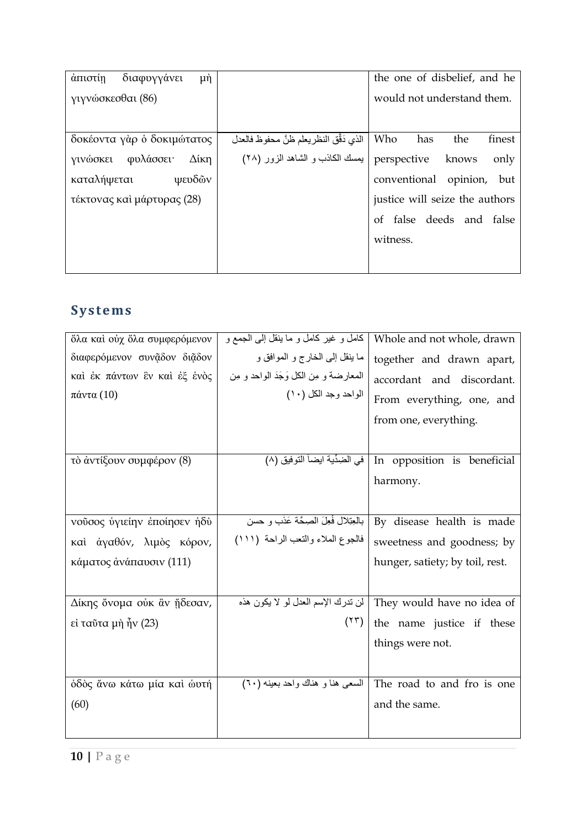| άπιστίη<br>διαφυγγάνει<br>$\mu$ ή |                                          | the one of disbelief, and he   |
|-----------------------------------|------------------------------------------|--------------------------------|
| γιγνώσκεσθαι (86)                 |                                          | would not understand them.     |
|                                   |                                          |                                |
| δοκέοντα γὰρ ὁ δοκιμώτατος        | الذي دَقَّقِ النظريعلم ظنَّ محفوظ فالعدل | Who<br>has<br>the<br>finest    |
| φυλάσσει·<br>Δίκη<br>γινώσκει     | بيمسك الكاذب و الشاهد الزور (٢٨)         | perspective knows<br>only      |
| ψευδῶν<br>καταλήψεται             |                                          | conventional opinion,<br>but   |
| τέκτονας και μάρτυρας (28)        |                                          | justice will seize the authors |
|                                   |                                          | of false deeds and false       |
|                                   |                                          | witness.                       |
|                                   |                                          |                                |

# **S ystems**

| δλα καί ούχ δλα συμφερόμενον | كامل و غير كامل و ما ينقل إلىي الجمع و  | Whole and not whole, drawn                                   |
|------------------------------|-----------------------------------------|--------------------------------------------------------------|
| διαφερόμενον συνᾶδον διᾶδον  | ما ينقل إلى الخارج و الموافق و          | together and drawn apart,                                    |
| καί έκ πάντων ἓν καί ἐξ ἑνὸς | المعارضة و مِن الكل وَجَدَ الواحد و مِن | accordant and discordant.                                    |
| πάντα(10)                    | الواحد وجد الكل (١٠)                    | From everything, one, and                                    |
|                              |                                         | from one, everything.                                        |
|                              |                                         |                                                              |
| τὸ ἀντίξουν συμφέρον (8)     |                                         | In opposition is beneficial   في الضِدِّية ايضاً التوفيق (٨) |
|                              |                                         | harmony.                                                     |
|                              |                                         |                                                              |
| νούσος ύγιείην εποίησεν ήδύ  | بالعِتِلال فُعِلَ الصِحَّة عَذْبٍ و حسن | By disease health is made                                    |
| καί άγαθόν, λιμός κόρον,     | فالجوع الملاء والنعب الراحة (١١١)       | sweetness and goodness; by                                   |
| κάματος άνάπαυσιν (111)      |                                         | hunger, satiety; by toil, rest.                              |
|                              |                                         |                                                              |
| Δίκης ὄνομα ούκ ἂν ἤδεσαν,   | ان تدرك الإسم العدل لو لا يكون هذه      | They would have no idea of                                   |
| εί ταῦτα μὴ ἦν (23)          | (11)                                    | the name justice if these                                    |
|                              |                                         | things were not.                                             |
|                              |                                         |                                                              |
| όδος άνω κάτω μία και ώυτή   | السعى هنا و هناك واحد بعينه (٦٠)        | The road to and fro is one                                   |
| (60)                         |                                         | and the same.                                                |
|                              |                                         |                                                              |
|                              |                                         |                                                              |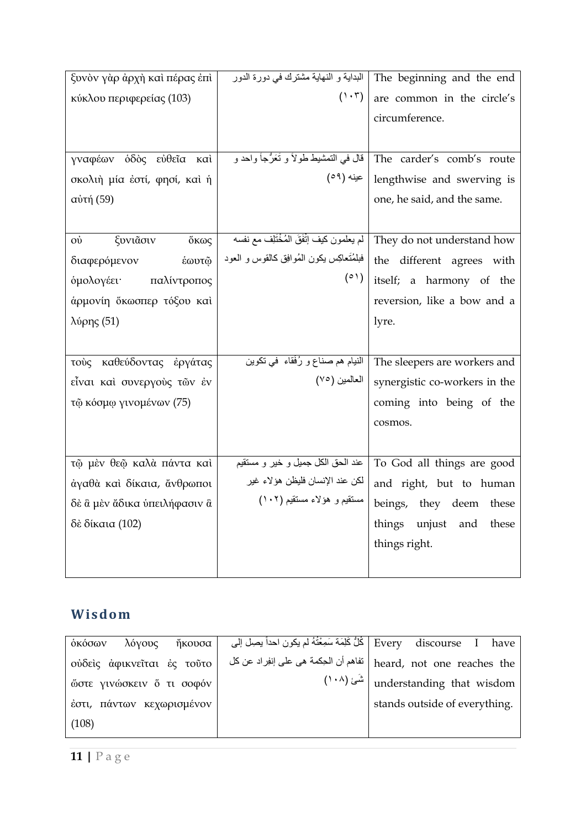| ξυνὸν γὰρ ἀρχὴ καὶ πέρας ἐπὶ | البداية و النهاية مشترك في دورة الدور      | The beginning and the end     |
|------------------------------|--------------------------------------------|-------------------------------|
| κύκλου περιφερείας (103)     | $(1 \cdot \tau)$                           | are common in the circle's    |
|                              |                                            | circumference.                |
|                              |                                            |                               |
| γναφέων όδὸς εὐθεῖα καὶ      | قال في التمشيط طولاً و تَعَرُّجاً واحد و   | The carder's comb's route     |
| σκολιή μία έστί, φησί, και ή | عينه (٥٩)                                  | lengthwise and swerving is    |
| αύτή (59)                    |                                            | one, he said, and the same.   |
|                              |                                            |                               |
| ξυνιᾶσιν<br>ὄκως<br>ού       | لم يعلمون كيف إنَّفَقَ المُخْتَلِف مع نفسه | They do not understand how    |
| έωυτφ<br>διαφερόμενον        | فبلمُتَعاكِس يكون المُوافِق كالقوس و العود | the different agrees with     |
| παλίντροπος<br>όμολογέει·    | (0)                                        | itself; a harmony of the      |
| άρμονίη ὄκωσπερ τόξου και    |                                            | reversion, like a bow and a   |
| λύρης (51)                   |                                            | lyre.                         |
|                              |                                            |                               |
| τούς καθεύδοντας έργάτας     | النيام هم صناع و رُفَقاء ً في نكوين        | The sleepers are workers and  |
| εἶναι καὶ συνεργούς των έν   | العالمين (٧٥)                              | synergistic co-workers in the |
| τῷ κόσμφ γινομένων (75)      |                                            | coming into being of the      |
|                              |                                            | cosmos.                       |
|                              |                                            |                               |
| τῷ μὲν θεῷ καλὰ πάντα καὶ    | عند الحق الكل جميل و خير و مستقيم          | To God all things are good    |
| άγαθὰ καὶ δίκαια, ἄνθρωποι   | لكن عند الإنسان فليظن هؤلاء غير            | and right, but to human       |
| δε α μεν άδικα ύπειλήφασιν α | مستقيم و هؤلاء مستقيم (١٠٢)                | beings, they deem these       |
| δὲ δίκαια (102)              |                                            | things unjust and<br>these    |
|                              |                                            | things right.                 |
|                              |                                            |                               |
|                              |                                            |                               |

## **Wisdom**

| λόγους ήκουσα<br>οκόσων    | Every discourse I have   كُلُّ كَلِّمَة سَمِعْتُهُ لم يكون احداً بِصِل إلى |
|----------------------------|----------------------------------------------------------------------------|
| ούδεις άφικνεῖται ἐς τοῦτο | heard, not one reaches the   تفاهم أن الحِكمة هي على إنفِراد عن كل         |
| ώστε γινώσκειν ὄ τι σοφόν  | ' understanding that wisdom   شَى (١٠٨)                                    |
| έστι, πάντων κεχωρισμένον  | stands outside of everything.                                              |
| (108)                      |                                                                            |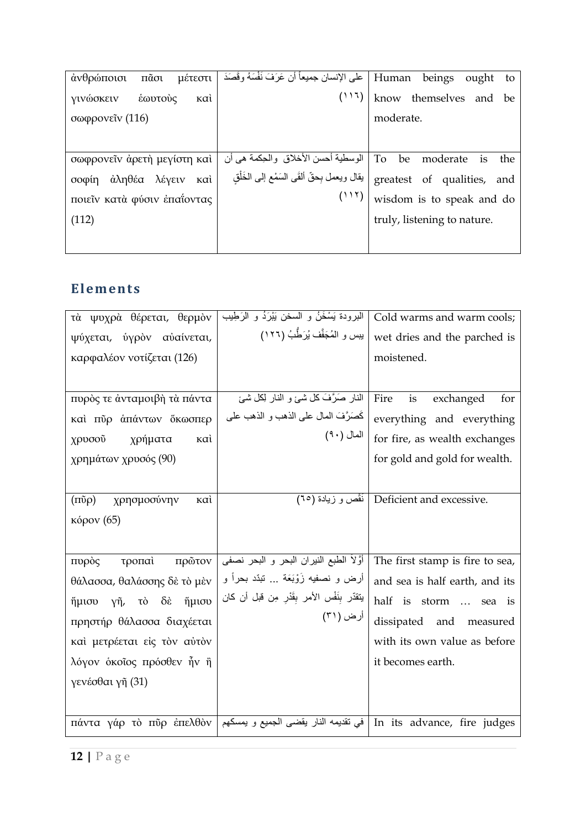| $\tilde{\text{max}}$<br>άνθρώποισι<br>μέτεστι | على الإنسان جميعاً أن عَرَفَ نَفْسَهُ وقَصَدَ | Human<br>beings<br>ought<br>to    |
|-----------------------------------------------|-----------------------------------------------|-----------------------------------|
| γινώσκειν<br>έωυτούς<br>ĸaì                   | (11)                                          | know themselves and be            |
| σωφρονεΐν (116)                               |                                               | moderate.                         |
|                                               |                                               |                                   |
| σωφρονεῖν ἀρετὴ μεγίστη καὶ                   | الوسطية أحسن الأخلاق والحِكمة هي أن           | To<br>be<br>moderate<br>the<br>is |
| άληθέα λέγειν<br>σοφίη<br>καὶ                 | يقال ويعمل بِحقّ ألقَى السَمْع إلىي الخَلْق   | greatest of qualities, and        |
| ποιείν κατά φύσιν επαΐοντας                   | (11)                                          | wisdom is to speak and do         |
| (112)                                         |                                               | truly, listening to nature.       |
|                                               |                                               |                                   |

#### **El ements**

| τὰ ψυχρὰ θέρεται, θερμὸν                          | البرودة يَسْخَنُ و السخن يَبْرَدُ و الرَطِيب                                               | Cold warms and warm cools;                   |
|---------------------------------------------------|--------------------------------------------------------------------------------------------|----------------------------------------------|
| ψύχεται, ύγρον αυαίνεται,                         | يبس و المُجَفَّف يُرَطُّبُ (١٢٦)                                                           | wet dries and the parched is                 |
| καρφαλέον νοτίζεται (126)                         |                                                                                            | moistened.                                   |
|                                                   |                                                                                            |                                              |
| πυρός τε άνταμοιβή τα πάντα                       | النار صَرَّفَ كلَّ شيءٍ و النار لِكلِّ شيئ                                                 | Fire<br>is<br>exchanged<br>for               |
| καί πύρ άπάντων ὄκωσπερ                           | كَصَرَّفَ المال على الذهب و الذهب على                                                      | everything and everything                    |
| χρήματα<br>χρυσοῦ<br>ĸaì                          | المال (٩٠)                                                                                 | for fire, as wealth exchanges                |
| χρημάτων χρυσός (90)                              |                                                                                            | for gold and gold for wealth.                |
|                                                   |                                                                                            |                                              |
| $(\mathrm{m\tilde{o}}\rho)$<br>χρησμοσύνην<br>καì |                                                                                            | (م الكَفْص و زيادة) Deficient and excessive. |
| <b>κόρον</b> (65)                                 |                                                                                            |                                              |
|                                                   |                                                                                            |                                              |
| πρῶτον<br>πυρὸς<br>τροπαὶ                         | أوَّلاَ الطبع النيران البحر و البحر نصفي                                                   | The first stamp is fire to sea,              |
| θάλασσα, θαλάσσης δε το μέν                       | أرض و نصفيه زَوْبَعَة … نَبْدٌ بحراً و                                                     | and sea is half earth, and its               |
| ἥμισυ γῆ, τὸ δὲ ἥμισυ                             | يتقدّر بِنَفْس الأمر بِقَدْرِ مِن قبل أن كان                                               | half is storm  sea is                        |
| πρηστήρ θάλασσα διαχέεται                         | أرض (٣١)                                                                                   | dissipated and measured                      |
| καί μετρέεται είς τον αύτον                       |                                                                                            | with its own value as before                 |
| λόγον οκοΐος πρόσθεν ἦν ἢ                         |                                                                                            | it becomes earth.                            |
| γενέσθαι γῆ (31)                                  |                                                                                            |                                              |
|                                                   |                                                                                            |                                              |
|                                                   | πάντα γάρ τὸ πῦρ ἐπελθὸν   في تقديمه النار يقضى الجميع و يمسكهم   πάντα γάρ τὸ πῦρ ἐπελθὸν |                                              |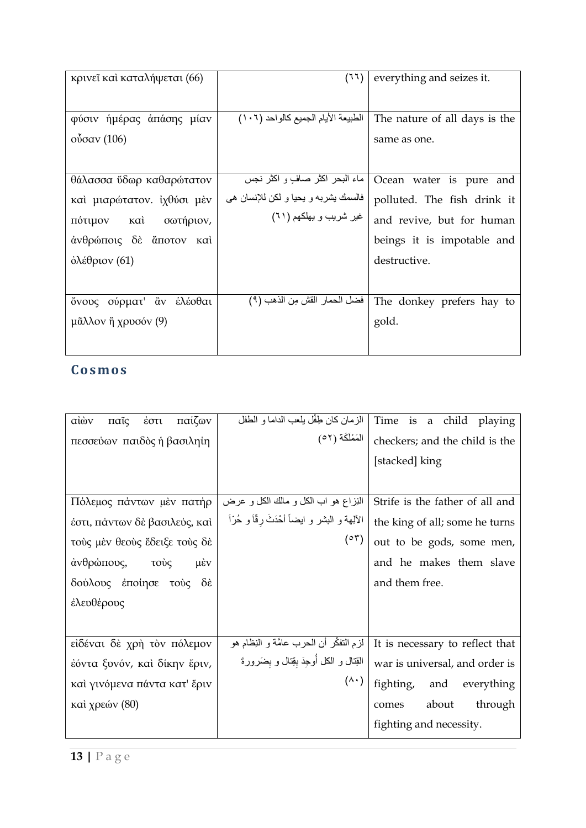| κρινεῖ καὶ καταλήψεται (66)              | (77)                                 | everything and seizes it.     |
|------------------------------------------|--------------------------------------|-------------------------------|
| φύσιν ήμέρας απάσης μίαν                 | الطبيعة الأيام الجميع كالواحد (١٠٦)  | The nature of all days is the |
| $\omega$ <sub>σ</sub> ίσαν (106)         |                                      | same as one.                  |
|                                          | ماء البحر اكثر صافٍ و اكثر نجس       |                               |
| θάλασσα ύδωρ καθαρώτατον                 |                                      | Ocean water is pure and       |
| καὶ μιαρώτατον. ἰχθύσι μὲν               | فالسمك يشربه و يحيا و لكن للإنسان هي | polluted. The fish drink it   |
| каì<br>σωτήριον,<br>πότιμον              | غیر شریب و یهلکهم ( ۲۱)              | and revive, but for human     |
| άνθρώποις δε άποτον καί                  |                                      | beings it is impotable and    |
| $\delta$ λέθριον (61)                    |                                      | destructive.                  |
|                                          |                                      |                               |
| ὄνους σύρματ' ἂν ἑλέσθαι                 | فضل الحمار القش مِن الذهب (٩)        | The donkey prefers hay to     |
| $\mu$ $\tilde{\alpha}$ λλον ἢ χρυσόν (9) |                                      | gold.                         |
|                                          |                                      |                               |

### **Cos mos**

| αίὼν<br>παίζων<br>παῖς<br>έστι | الز مان كان طِفْل بِلْعب الداما و الطفل        | Time is a child playing         |
|--------------------------------|------------------------------------------------|---------------------------------|
| πεσσεύων παιδὸς ή βασιληίη     | المَمْلَكَة (٥٢)                               | checkers; and the child is the  |
|                                |                                                | [stacked] king                  |
|                                |                                                |                                 |
| Πόλεμος πάντων μέν πατήρ       | النِزاع هو اب الكل و مالك الكل و عرض           | Strife is the father of all and |
| έστι, πάντων δὲ βασιλεύς, καὶ  | الألِهة و البشر و ايضاً أحْدَثَ رفّاً و حُرّاً | the king of all; some he turns  |
| τούς μέν θεούς ἔδειξε τούς δέ  | $(°^{\mathsf{r}})$                             | out to be gods, some men,       |
| άνθρώπους, τούς<br>$\mu$ εν    |                                                | and he makes them slave         |
| δούλους έποίησε τούς δέ        |                                                | and them free.                  |
| έλευθέρους                     |                                                |                                 |
|                                |                                                |                                 |
| είδέναι δὲ χρή τὸν πόλεμον     | لزم التفكُّل أن الحرب عامَّة و النِظام هو      | It is necessary to reflect that |
| έόντα ξυνόν, και δίκην έριν,   | القِنال و الكل أُوجِدَ بقِنال و بضَرورةَ       | war is universal, and order is  |
| καὶ γινόμενα πάντα κατ' ἔριν   | $(\wedge \cdot)$                               | fighting,<br>and everything     |
| καὶ χρεών (80)                 |                                                | about<br>through<br>comes       |
|                                |                                                | fighting and necessity.         |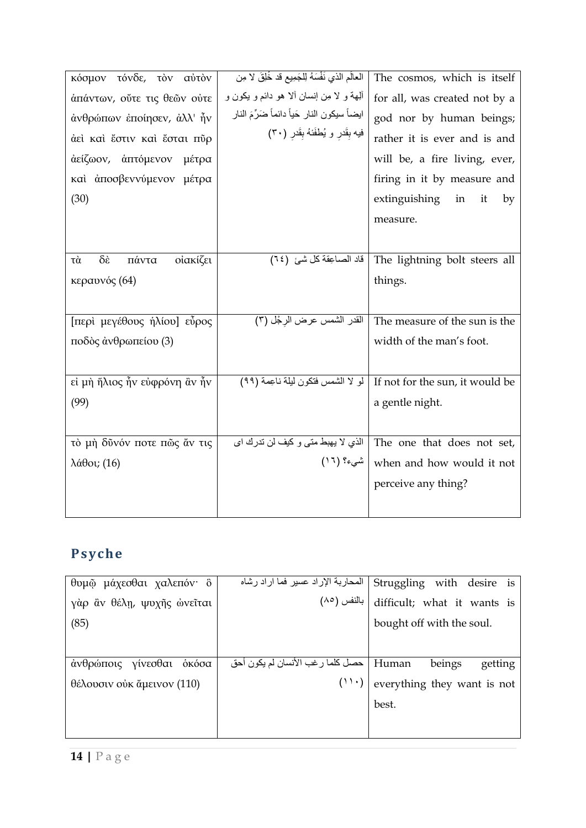| κόσμον τόνδε, τον αύτον                            | العالَمِ الذي نَفْسَهُ لِلْجَمِيعِ قد خُلِقَ لا مِن | The cosmos, which is itself     |
|----------------------------------------------------|-----------------------------------------------------|---------------------------------|
| άπάντων, ούτε τις θεών ούτε                        | ألِهة و لا مِن إنسان ألا هو دائم و يكون و           | for all, was created not by a   |
| άνθρώπων έποίησεν, άλλ' ἦν                         | ايضاً سيكون النار حَياً دائماً ضَرِّمَ النار        | god nor by human beings;        |
| άει και έστιν και έσται πύρ                        | فيه بِقَدرٍ و يُطفَئهُ بِقَدرٍ (٣٠)                 | rather it is ever and is and    |
| άείζωον, άπτόμενον μέτρα                           |                                                     | will be, a fire living, ever,   |
| και άποσβεννύμενον μέτρα                           |                                                     | firing in it by measure and     |
| (30)                                               |                                                     | extinguishing<br>in<br>it<br>by |
|                                                    |                                                     | measure.                        |
|                                                    |                                                     |                                 |
| $\delta \dot{\epsilon}$<br>οίακίζει<br>πάντα<br>τὰ | قاد الصاعِقة كلّ شيئ (٢٤)                           | The lightning bolt steers all   |
| κεραυνός (64)                                      |                                                     | things.                         |
|                                                    |                                                     |                                 |
| [περὶ μεγέθους ήλίου] εὖρος                        | القدر الشمس عرض الرجْل (٣)                          | The measure of the sun is the   |
| ποδός άνθρωπείου (3)                               |                                                     | width of the man's foot.        |
|                                                    |                                                     |                                 |
| εί μη ἥλιος ἦν εύφρόνη ἂν ἦν                       | لو لا الشمس فتكون ليلة ناعِمة (٩٩)                  | If not for the sun, it would be |
| (99)                                               |                                                     | a gentle night.                 |
|                                                    |                                                     |                                 |
| τὸ μὴ δῦνόν ποτε πῶς ἄν τις                        | الذي لا يهبط متى و كيف لن تدرك اي                   | The one that does not set,      |
| $λ\acute{\alpha}θ$ οι; (16)                        | شيء؟ (١٦)                                           | when and how would it not       |
|                                                    |                                                     | perceive any thing?             |
|                                                    |                                                     |                                 |
|                                                    |                                                     |                                 |

# **Ps yche**

| θυμῷ μάχεσθαι χαλεπόν· ὃ   | المحاربة الإراد عسير فما اراد رشاه       | Struggling with desire is   |
|----------------------------|------------------------------------------|-----------------------------|
| γὰρ ἂν θέλη, ψυχῆς ὡνεῖται | بالنفس (٨٥)                              | difficult; what it wants is |
| (85)                       |                                          | bought off with the soul.   |
|                            |                                          |                             |
| άνθρώποις γίνεσθαι οκόσα   | Human   حصل كلما رغب الأنسان لم يكون أحق | beings<br>getting           |
| θέλουσιν ούκ ἄμεινον (110) | (11)                                     | everything they want is not |
|                            |                                          | best.                       |
|                            |                                          |                             |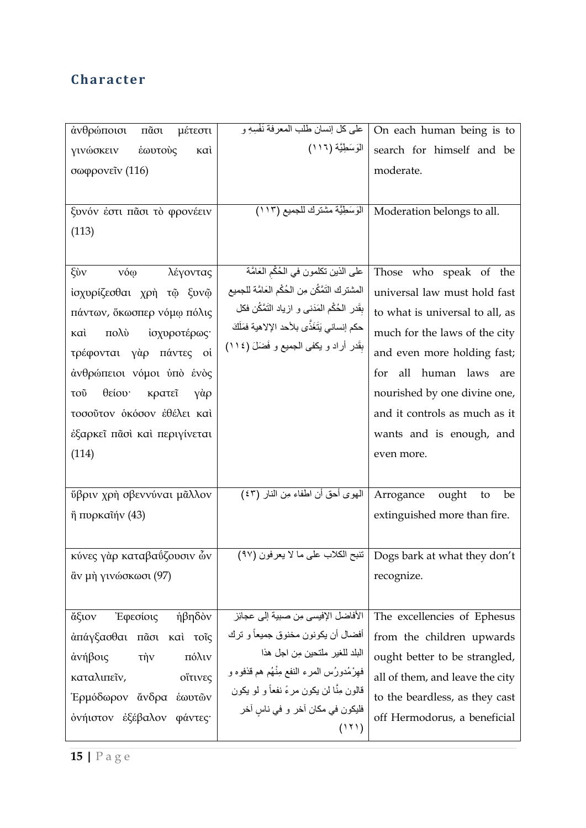### **C haracter**

| άνθρώποισι<br>$\tilde{\text{max}}$<br>μέτεστι | على كل إنسان طلب المعرفة نَفْسِهِ و             | On each human being is to                                                                                   |
|-----------------------------------------------|-------------------------------------------------|-------------------------------------------------------------------------------------------------------------|
| γινώσκειν<br>έωυτούς<br>ĸaì                   | الْمَوْسَطِيَّة (١١٦)                           | search for himself and be                                                                                   |
| σωφρονεΐν (116)                               |                                                 | moderate.                                                                                                   |
|                                               |                                                 |                                                                                                             |
| ξυνόν έστι πᾶσι τὸ φρονέειν                   | الْوَسَطِيَّة مشترك للجميع (١١٣)                | Moderation belongs to all.                                                                                  |
| (113)                                         |                                                 |                                                                                                             |
|                                               |                                                 |                                                                                                             |
| ξύν<br>vóọ<br>λέγοντας                        | على الذين تكلمون في الحُكْمِ الْعَامَّة         | Those who speak of the                                                                                      |
| ίσχυρίζεσθαι χρή τῷ ξυνῷ                      | المشترك التَمَّكُن مِن الحُكْم العَامَّة للجميع | universal law must hold fast                                                                                |
| πάντων, όκωσπερ νόμω πόλις                    | بقَدر الحُكْم المَدَنى و ازياد النَّمَّكُن فكل  | to what is universal to all, as                                                                             |
| πολύ<br>ίσχυροτέρως·<br>καì                   | حكم إنساني يَتَغَذَّى بلأحد الإلاهية فمَلَكَ    | much for the laws of the city                                                                               |
| τρέφονται γάρ πάντες οί                       | بِقَدر أراد و يكفى الجميع و فَضَلَ (١١٤)        | and even more holding fast;                                                                                 |
|                                               |                                                 |                                                                                                             |
| άνθρώπειοι νόμοι ύπό ένὸς                     |                                                 | all<br>human laws<br>for<br>are                                                                             |
| θείου κρατεΐ<br>γὰρ<br>τοῦ                    |                                                 | nourished by one divine one,                                                                                |
| τοσούτον οκόσον εθέλει και                    |                                                 | and it controls as much as it                                                                               |
| έξαρκεῖ πἆσὶ καὶ περιγίνεται                  |                                                 | wants and is enough, and                                                                                    |
| (114)                                         |                                                 | even more.                                                                                                  |
|                                               |                                                 |                                                                                                             |
| <b>ύβριν χρή σβεννύναι μᾶλλον</b>             | المهوى أحق أن اطفاء مِن النار (٤٣)              | Arrogance ought<br>to<br>be                                                                                 |
| $\ddot{\eta}$ πυρκαῖήν (43)                   |                                                 | extinguished more than fire.                                                                                |
|                                               |                                                 |                                                                                                             |
| κύνες γάρ καταβαΰζουσιν ών                    |                                                 | $\overline{(^{\mathfrak{q}}{\mathsf{v}})}$ تتبح الكلاب على ما لا يعرفون $\mid$ Dogs bark at what they don't |
| ἂν μὴ γινώσκωσι (97)                          |                                                 | recognize.                                                                                                  |
|                                               |                                                 |                                                                                                             |
| Έφεσίοις<br>ήβηδὸν<br>άξιον                   | الأفاضل الإفيسي مِن صبية إلى عجائِز             | The excellencies of Ephesus                                                                                 |
| άπάγξασθαι πᾶσι καὶ τοῖς                      | أفضال أن يكونون مخنوق جميعاً و ترك              | from the children upwards                                                                                   |
| πόλιν<br>άνήβοις<br>τὴν                       | البلد للغير ملتحين مِن اجل هذا                  | ought better to be strangled,                                                                               |
| οΐτινες<br>καταλιπεῖν,                        | فهِرْمُدورُس المرء النفع مِنْهُم هم قذفوه و     | all of them, and leave the city                                                                             |
| Έρμόδωρον άνδρα έωυτῶν                        | قالون مِنَّا لن يكون مرءً نفعاً و لو يكون       | to the beardless, as they cast                                                                              |
| όνήιστον έξέβαλον φάντες·                     | فليكون في مكان أخر و في ناسٍ أخر                | off Hermodorus, a beneficial                                                                                |
|                                               | (111)                                           |                                                                                                             |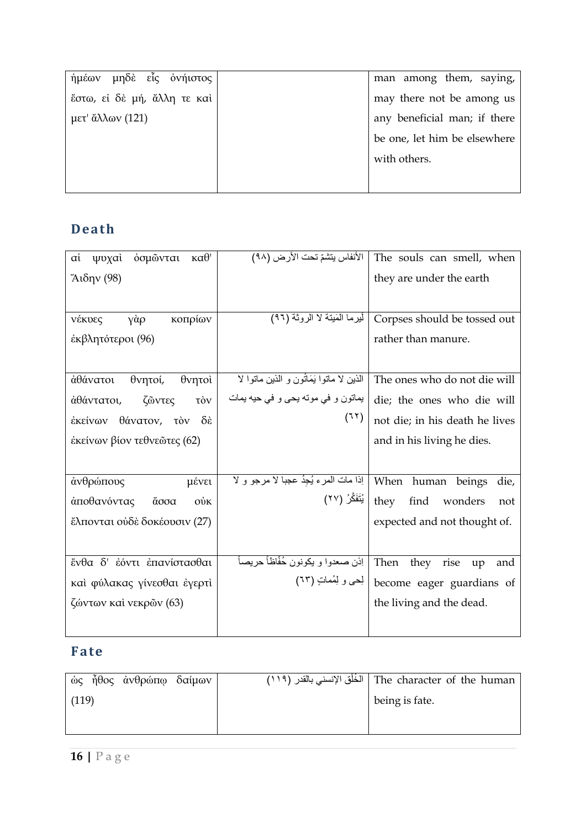| ήμέων μηδε εἶς ονήιστος     | man among them, saying,      |
|-----------------------------|------------------------------|
| έστω, εί δε μή, άλλη τε καί | may there not be among us    |
| $\mu$ ετ' ἄλλων (121)       | any beneficial man; if there |
|                             | be one, let him be elsewhere |
|                             | with others.                 |
|                             |                              |

## **Death**

| όσμωνται<br>$\kappa\alpha\theta$ '<br>αi<br>ψυχαὶ | الأنفاس يتشمّ تحت الأرض (٩٨)                               | The souls can smell, when         |
|---------------------------------------------------|------------------------------------------------------------|-----------------------------------|
| Άιδην (98)                                        |                                                            | they are under the earth          |
|                                                   |                                                            |                                   |
| γὰρ<br>κοπρίων<br>νέκυες                          | أَيْرِما الْمَيْنَة لا الروثة (٩٦)                         | Corpses should be tossed out      |
| έκβλητότεροι (96)                                 |                                                            | rather than manure.               |
|                                                   |                                                            |                                   |
|                                                   |                                                            |                                   |
| αθάνατοι<br>θνητοί,<br>θνητοί                     | الذين لا ماتوا يَمَاتُون و الذين ماتوا لا                  | The ones who do not die will      |
| ζῶντες<br>άθάντατοι,<br>τòν                       | یماتون و فی موته یحی و فی حیه یمات                         | die; the ones who die will        |
| έκείνων θάνατον, τὸν δὲ                           | (77)                                                       | not die; in his death he lives    |
| έκείνων βίον τεθνεῶτες (62)                       |                                                            | and in his living he dies.        |
|                                                   |                                                            |                                   |
| άνθρώπους<br>μένει                                | When human beings   إذا مات المرء يُجِدُ عجبا لا مرجو و لا | die,                              |
| άποθανόντας<br>άσσα<br>$0\dot{v}$ K               | they   يُتَفَكَّرُ (٢٧)                                    | find wonders<br>not               |
| ἔλπονται οὐδὲ δοκέουσιν (27)                      |                                                            | expected and not thought of.      |
|                                                   |                                                            |                                   |
| ένθα δ' έόντι έπανίστασθαι                        | اِذْنِ صعدوا و يكونون خُفَّاظاً حريصاً                     | Then<br>they<br>rise<br>up<br>and |
| καί φύλακας γίνεσθαι έγερτὶ                       | لِحي و لِمُماتٍ (٦٣)                                       | become eager guardians of         |
| ζώντων καὶ νεκρῶν (63)                            |                                                            | the living and the dead.          |
|                                                   |                                                            |                                   |

## **Fate**

|       | ώς ἦθος ἀνθρώπφ δαίμων |  | The character of the human   الْخُلْق الإنسني بالقدر (١١٩) |
|-------|------------------------|--|------------------------------------------------------------|
| (119) |                        |  | being is fate.                                             |
|       |                        |  |                                                            |
|       |                        |  |                                                            |